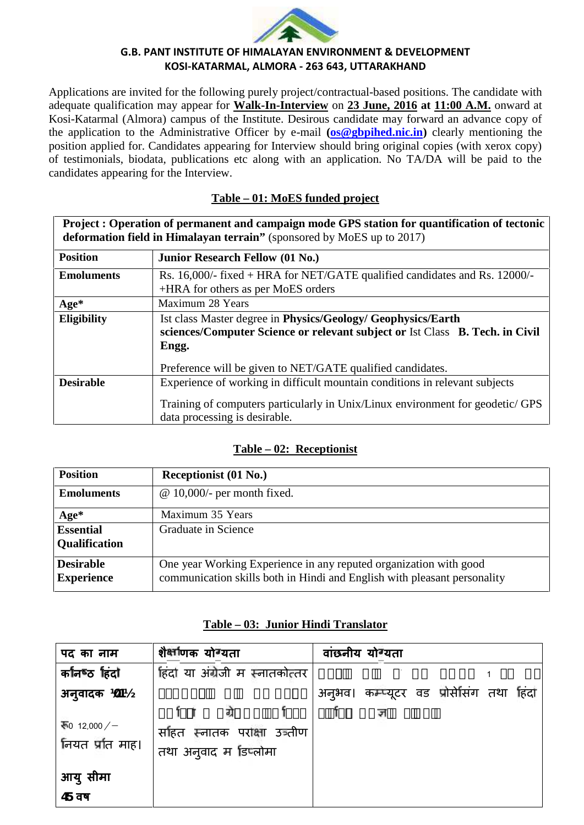

#### **G.B. PANT INSTITUTE OF HIMALAYAN ENVIRONMENT & DEVELOPMENT KOSI-KATARMAL, ALMORA - 263 643, UTTARAKHAND**

Applications are invited for the following purely project/contractual-based positions. The candidate with adequate qualification may appear for Walk-In-Interview on 23 June, 2016 at 11:00 A.M. onward at Kosi-Katarmal (Almora) campus of the Institute. Desirous candidate may forward an advance copy of the application to the Administrative Officer by e-mail **(os@gbpihed.nic.in)** clearly mentioning the position applied for. Candidates appearing for Interview should bring original copies (with xerox copy) of testimonials, biodata, publications etc along with an application. No TA/DA will be paid to the candidates appearing for the Interview.

### **Table – 01: MoES funded project**

| Project : Operation of permanent and campaign mode GPS station for quantification of tectonic<br>deformation field in Himalayan terrain" (sponsored by MoES up to 2017) |                                                                                                                                                                                                |  |  |
|-------------------------------------------------------------------------------------------------------------------------------------------------------------------------|------------------------------------------------------------------------------------------------------------------------------------------------------------------------------------------------|--|--|
| <b>Position</b>                                                                                                                                                         | <b>Junior Research Fellow (01 No.)</b>                                                                                                                                                         |  |  |
| <b>Emoluments</b>                                                                                                                                                       | Rs. 16,000/- fixed + HRA for NET/GATE qualified candidates and Rs. 12000/-<br>+HRA for others as per MoES orders                                                                               |  |  |
| $Age*$                                                                                                                                                                  | Maximum 28 Years                                                                                                                                                                               |  |  |
| <b>Eligibility</b>                                                                                                                                                      | Ist class Master degree in Physics/Geology/ Geophysics/Earth<br>sciences/Computer Science or relevant subject or Ist Class B. Tech. in Civil<br>Engg.                                          |  |  |
|                                                                                                                                                                         | Preference will be given to NET/GATE qualified candidates.                                                                                                                                     |  |  |
| <b>Desirable</b>                                                                                                                                                        | Experience of working in difficult mountain conditions in relevant subjects<br>Training of computers particularly in Unix/Linux environment for geodetic/ GPS<br>data processing is desirable. |  |  |

### **Table – 02: Receptionist**

| <b>Position</b>                       | Receptionist (01 No.)                                                                                                                         |  |
|---------------------------------------|-----------------------------------------------------------------------------------------------------------------------------------------------|--|
| <b>Emoluments</b>                     | $@ 10,000$ - per month fixed.                                                                                                                 |  |
| Age*                                  | Maximum 35 Years                                                                                                                              |  |
| <b>Essential</b>                      | Graduate in Science                                                                                                                           |  |
| <b>Qualification</b>                  |                                                                                                                                               |  |
| <b>Desirable</b><br><b>Experience</b> | One year Working Experience in any reputed organization with good<br>communication skills both in Hindi and English with pleasant personality |  |

### **Table – 03: Junior Hindi Translator**

| $1$ avit $-0.5$ . Juliiol Tilliul Translator |                                                               |                                          |  |  |  |  |
|----------------------------------------------|---------------------------------------------------------------|------------------------------------------|--|--|--|--|
| पद का नाम                                    | शैक्षणिक योग्यता                                              | वांछनीय योग्यता                          |  |  |  |  |
| कानिष्ठ हिंदो                                | हिंदी या अंग्रेजी म स्नातकोत्तर                               |                                          |  |  |  |  |
| <b>अनुवादक 1011/2</b>                        |                                                               | अनुभव। कम्प्यूटर वड प्रोसेसिंग तथा हिंदी |  |  |  |  |
| $\overline{+0}$ 12,000 /-<br>नियत प्रति माह। | ग्रो<br>र्साहत स्नातक परोक्षा उञ्तीण<br>तथा अनुवाद म डिप्लोमा | ज                                        |  |  |  |  |
| आयु सीमा                                     |                                                               |                                          |  |  |  |  |
| $45$ वष                                      |                                                               |                                          |  |  |  |  |